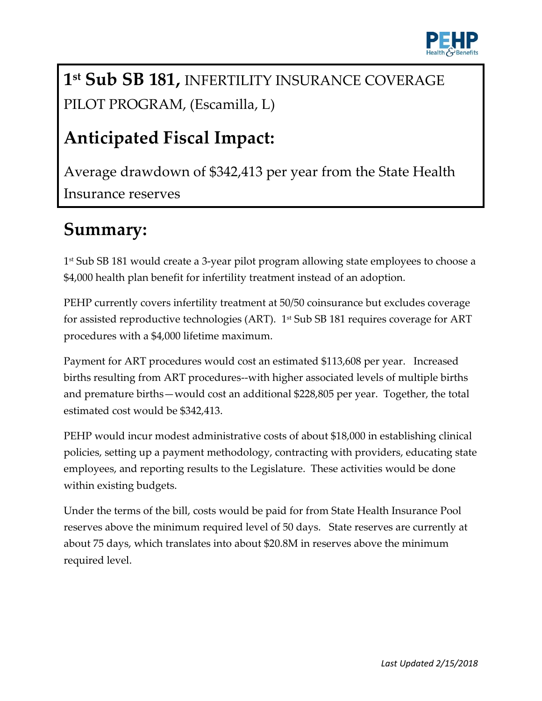

# **1 st Sub SB 181,** INFERTILITY INSURANCE COVERAGE PILOT PROGRAM, (Escamilla, L)

## **Anticipated Fiscal Impact:**

Average drawdown of \$342,413 per year from the State Health Insurance reserves

#### **Summary:**

1 st Sub SB 181 would create a 3-year pilot program allowing state employees to choose a \$4,000 health plan benefit for infertility treatment instead of an adoption.

PEHP currently covers infertility treatment at 50/50 coinsurance but excludes coverage for assisted reproductive technologies (ART). 1 st Sub SB 181 requires coverage for ART procedures with a \$4,000 lifetime maximum.

Payment for ART procedures would cost an estimated \$113,608 per year. Increased births resulting from ART procedures--with higher associated levels of multiple births and premature births—would cost an additional \$228,805 per year. Together, the total estimated cost would be \$342,413.

PEHP would incur modest administrative costs of about \$18,000 in establishing clinical policies, setting up a payment methodology, contracting with providers, educating state employees, and reporting results to the Legislature. These activities would be done within existing budgets.

Under the terms of the bill, costs would be paid for from State Health Insurance Pool reserves above the minimum required level of 50 days. State reserves are currently at about 75 days, which translates into about \$20.8M in reserves above the minimum required level.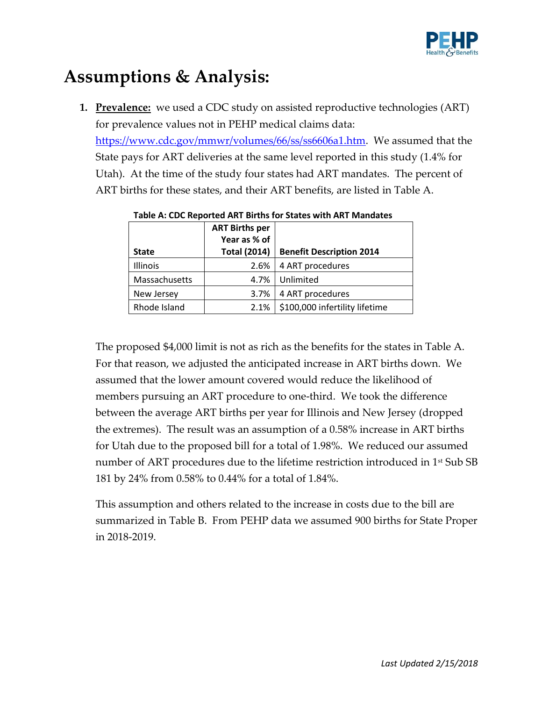

## **Assumptions & Analysis:**

**1. Prevalence:** we used a CDC study on assisted reproductive technologies (ART) for prevalence values not in PEHP medical claims data: [https://www.cdc.gov/mmwr/volumes/66/ss/ss6606a1.htm.](https://www.cdc.gov/mmwr/volumes/66/ss/ss6606a1.htm) We assumed that the State pays for ART deliveries at the same level reported in this study (1.4% for Utah). At the time of the study four states had ART mandates. The percent of

| <b>State</b>  | <b>ART Births per</b><br>Year as % of<br><b>Total (2014)</b> | <b>Benefit Description 2014</b> |
|---------------|--------------------------------------------------------------|---------------------------------|
| Illinois      | 2.6%                                                         | 4 ART procedures                |
| Massachusetts | 4.7%                                                         | Unlimited                       |
| New Jersey    | 3.7%                                                         | 4 ART procedures                |
| Rhode Island  | 2.1%                                                         | \$100,000 infertility lifetime  |

**Table A: CDC Reported ART Births for States with ART Mandates**

ART births for these states, and their ART benefits, are listed in Table A.

The proposed \$4,000 limit is not as rich as the benefits for the states in Table A. For that reason, we adjusted the anticipated increase in ART births down. We assumed that the lower amount covered would reduce the likelihood of members pursuing an ART procedure to one-third. We took the difference between the average ART births per year for Illinois and New Jersey (dropped the extremes). The result was an assumption of a 0.58% increase in ART births for Utah due to the proposed bill for a total of 1.98%. We reduced our assumed number of ART procedures due to the lifetime restriction introduced in 1<sup>st</sup> Sub SB 181 by 24% from 0.58% to 0.44% for a total of 1.84%.

This assumption and others related to the increase in costs due to the bill are summarized in Table B. From PEHP data we assumed 900 births for State Proper in 2018-2019.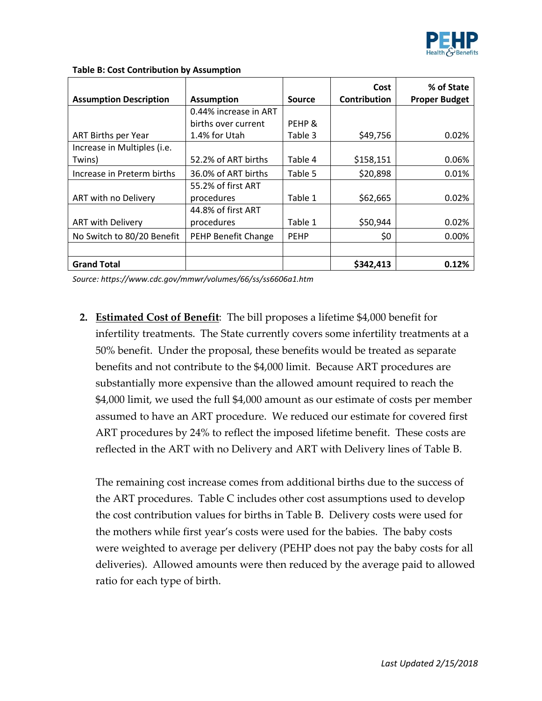

|                               |                       |               | Cost         | % of State           |
|-------------------------------|-----------------------|---------------|--------------|----------------------|
| <b>Assumption Description</b> | <b>Assumption</b>     | <b>Source</b> | Contribution | <b>Proper Budget</b> |
|                               | 0.44% increase in ART |               |              |                      |
|                               | births over current   | PEHP &        |              |                      |
| ART Births per Year           | 1.4% for Utah         | Table 3       | \$49,756     | 0.02%                |
| Increase in Multiples (i.e.   |                       |               |              |                      |
| Twins)                        | 52.2% of ART births   | Table 4       | \$158,151    | 0.06%                |
| Increase in Preterm births    | 36.0% of ART births   | Table 5       | \$20,898     | 0.01%                |
|                               | 55.2% of first ART    |               |              |                      |
| ART with no Delivery          | procedures            | Table 1       | \$62,665     | 0.02%                |
|                               | 44.8% of first ART    |               |              |                      |
| <b>ART with Delivery</b>      | procedures            | Table 1       | \$50,944     | 0.02%                |
| No Switch to 80/20 Benefit    | PEHP Benefit Change   | <b>PEHP</b>   | \$0          | $0.00\%$             |
|                               |                       |               |              |                      |
| <b>Grand Total</b>            |                       |               | \$342,413    | 0.12%                |

#### **Table B: Cost Contribution by Assumption**

*Source: https://www.cdc.gov/mmwr/volumes/66/ss/ss6606a1.htm*

**2. Estimated Cost of Benefit**: The bill proposes a lifetime \$4,000 benefit for infertility treatments. The State currently covers some infertility treatments at a 50% benefit. Under the proposal, these benefits would be treated as separate benefits and not contribute to the \$4,000 limit. Because ART procedures are substantially more expensive than the allowed amount required to reach the \$4,000 limit, we used the full \$4,000 amount as our estimate of costs per member assumed to have an ART procedure. We reduced our estimate for covered first ART procedures by 24% to reflect the imposed lifetime benefit. These costs are reflected in the ART with no Delivery and ART with Delivery lines of Table B.

The remaining cost increase comes from additional births due to the success of the ART procedures. Table C includes other cost assumptions used to develop the cost contribution values for births in Table B. Delivery costs were used for the mothers while first year's costs were used for the babies. The baby costs were weighted to average per delivery (PEHP does not pay the baby costs for all deliveries). Allowed amounts were then reduced by the average paid to allowed ratio for each type of birth.